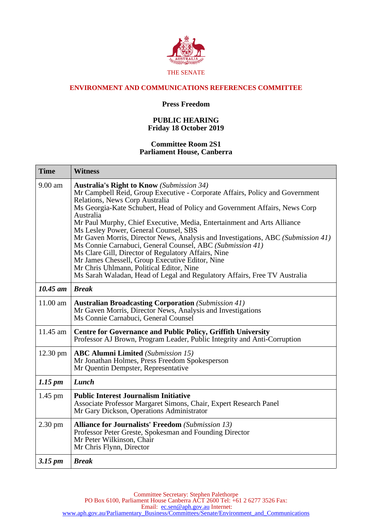

## **ENVIRONMENT AND COMMUNICATIONS REFERENCES COMMITTEE**

## **Press Freedom**

## **PUBLIC HEARING Friday 18 October 2019**

## **Committee Room 2S1 Parliament House, Canberra**

| <b>Time</b>         | <b>Witness</b>                                                                                                                                                                                                                                                                                                                                                                                                                                                                                                                                                                                                                                                                                                                                                        |
|---------------------|-----------------------------------------------------------------------------------------------------------------------------------------------------------------------------------------------------------------------------------------------------------------------------------------------------------------------------------------------------------------------------------------------------------------------------------------------------------------------------------------------------------------------------------------------------------------------------------------------------------------------------------------------------------------------------------------------------------------------------------------------------------------------|
| $9.00$ am           | <b>Australia's Right to Know</b> (Submission 34)<br>Mr Campbell Reid, Group Executive - Corporate Affairs, Policy and Government<br>Relations, News Corp Australia<br>Ms Georgia-Kate Schubert, Head of Policy and Government Affairs, News Corp<br>Australia<br>Mr Paul Murphy, Chief Executive, Media, Entertainment and Arts Alliance<br>Ms Lesley Power, General Counsel, SBS<br>Mr Gaven Morris, Director News, Analysis and Investigations, ABC (Submission 41)<br>Ms Connie Carnabuci, General Counsel, ABC (Submission 41)<br>Ms Clare Gill, Director of Regulatory Affairs, Nine<br>Mr James Chessell, Group Executive Editor, Nine<br>Mr Chris Uhlmann, Political Editor, Nine<br>Ms Sarah Waladan, Head of Legal and Regulatory Affairs, Free TV Australia |
| $10.45$ am          | <b>Break</b>                                                                                                                                                                                                                                                                                                                                                                                                                                                                                                                                                                                                                                                                                                                                                          |
| 11.00 am            | <b>Australian Broadcasting Corporation</b> (Submission 41)<br>Mr Gaven Morris, Director News, Analysis and Investigations<br>Ms Connie Carnabuci, General Counsel                                                                                                                                                                                                                                                                                                                                                                                                                                                                                                                                                                                                     |
| 11.45 am            | <b>Centre for Governance and Public Policy, Griffith University</b><br>Professor AJ Brown, Program Leader, Public Integrity and Anti-Corruption                                                                                                                                                                                                                                                                                                                                                                                                                                                                                                                                                                                                                       |
| $12.30 \text{ pm}$  | <b>ABC Alumni Limited</b> (Submission 15)<br>Mr Jonathan Holmes, Press Freedom Spokesperson<br>Mr Quentin Dempster, Representative                                                                                                                                                                                                                                                                                                                                                                                                                                                                                                                                                                                                                                    |
| $1.15 \, \text{pm}$ | Lunch                                                                                                                                                                                                                                                                                                                                                                                                                                                                                                                                                                                                                                                                                                                                                                 |
| $1.45$ pm           | <b>Public Interest Journalism Initiative</b><br>Associate Professor Margaret Simons, Chair, Expert Research Panel<br>Mr Gary Dickson, Operations Administrator                                                                                                                                                                                                                                                                                                                                                                                                                                                                                                                                                                                                        |
| 2.30 pm             | <b>Alliance for Journalists' Freedom</b> (Submission 13)<br>Professor Peter Greste, Spokesman and Founding Director<br>Mr Peter Wilkinson, Chair<br>Mr Chris Flynn, Director                                                                                                                                                                                                                                                                                                                                                                                                                                                                                                                                                                                          |
| $3.15 \, \text{pm}$ | <b>Break</b>                                                                                                                                                                                                                                                                                                                                                                                                                                                                                                                                                                                                                                                                                                                                                          |